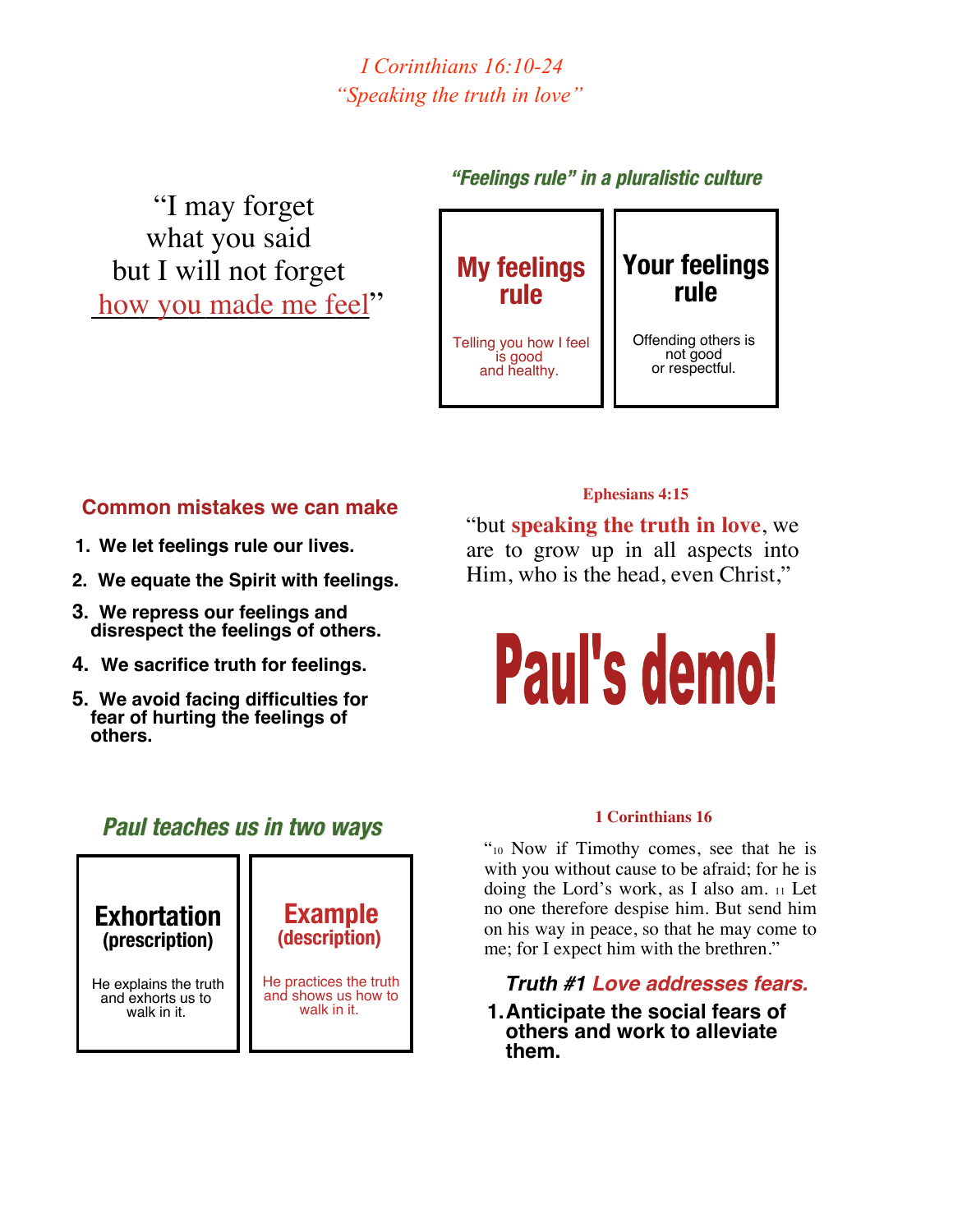*I Corinthians 16:10-24 "Speaking the truth in love"*

 "I may forget what you said but I will not forget how you made me feel"

## **"Feelings rule Feelings rule" in a pluralistic pluralistic culture culture**



## **Common mistakes we can make**

- **1. We let feelings rule our lives.**
- **2. We equate the Spirit with feelings.**
- **3. We repress our feelings and disrespect the feelings of others.**
- **4. We sacrifice truth for feelings.**
- **5. We avoid facing difficulties for fear of hurting the feelings of others.**

# **Ephesians 4:15**

"but **speaking the truth in love**, we are to grow up in all aspects into Him, who is the head, even Christ,"

# Paul's demo!

#### **1 Corinthians 16**

"10 Now if Timothy comes, see that he is with you without cause to be afraid; for he is doing the Lord's work, as I also am. <sup>11</sup> Let no one therefore despise him. But send him on his way in peace, so that he may come to me; for I expect him with the brethren."

 *Truth #1 Love addresses fears.*

**1.Anticipate the social fears of others and work to alleviate them.**

# **Paul teaches us in two ways Paul teaches us in two ways**

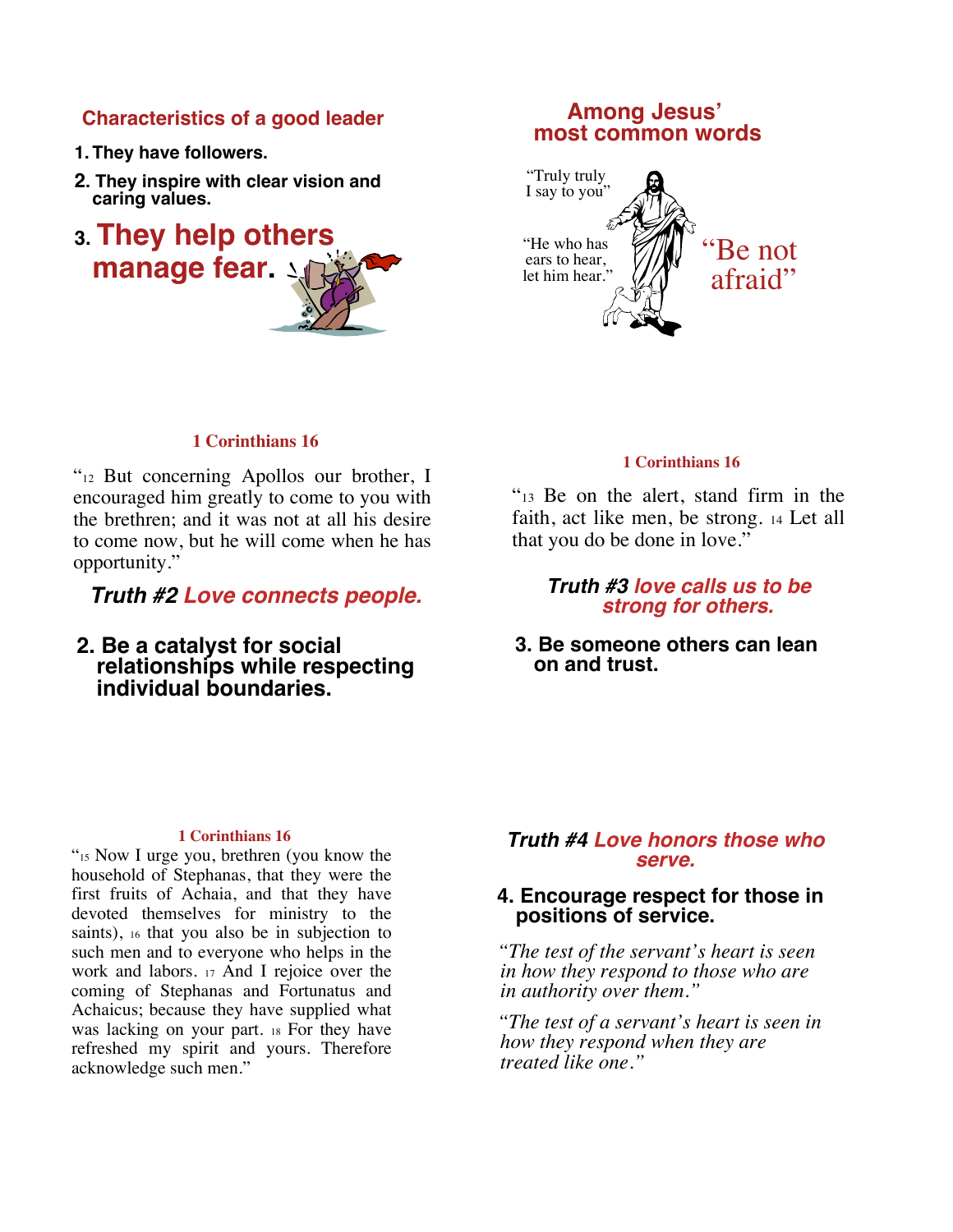#### **Characteristics of a good leader**

- **1. They have followers.**
- **2. They inspire with clear vision and caring values.**
- **3. They help others manage fear.**

# **Among Jesus<sup>&#</sup>x27; most common words**



#### **1 Corinthians 16**

"12 But concerning Apollos our brother, I encouraged him greatly to come to you with the brethren; and it was not at all his desire to come now, but he will come when he has opportunity."

*Truth #2 Love connects people.*

**2. Be a catalyst for social relationships while respecting individual boundaries.**

#### **1 Corinthians 16**

"13 Be on the alert, stand firm in the faith, act like men, be strong. <sup>14</sup> Let all that you do be done in love."

> *Truth #3 love calls us to be strong for others.*

**3. Be someone others can lean on and trust.**

#### **1 Corinthians 16**

"15 Now I urge you, brethren (you know the household of Stephanas, that they were the first fruits of Achaia, and that they have devoted themselves for ministry to the saints), <sup>16</sup> that you also be in subjection to such men and to everyone who helps in the work and labors. <sup>17</sup> And I rejoice over the coming of Stephanas and Fortunatus and Achaicus; because they have supplied what was lacking on your part. <sup>18</sup> For they have refreshed my spirit and yours. Therefore acknowledge such men."

#### *Truth #4 Love honors those who serve.*

#### **4. Encourage respect for those in positions of service.**

 *"The test of the servant's heart is seen in how they respond to those who are in authority over them."*

 *"The test of a servant's heart is seen in how they respond when they are treated like one."*